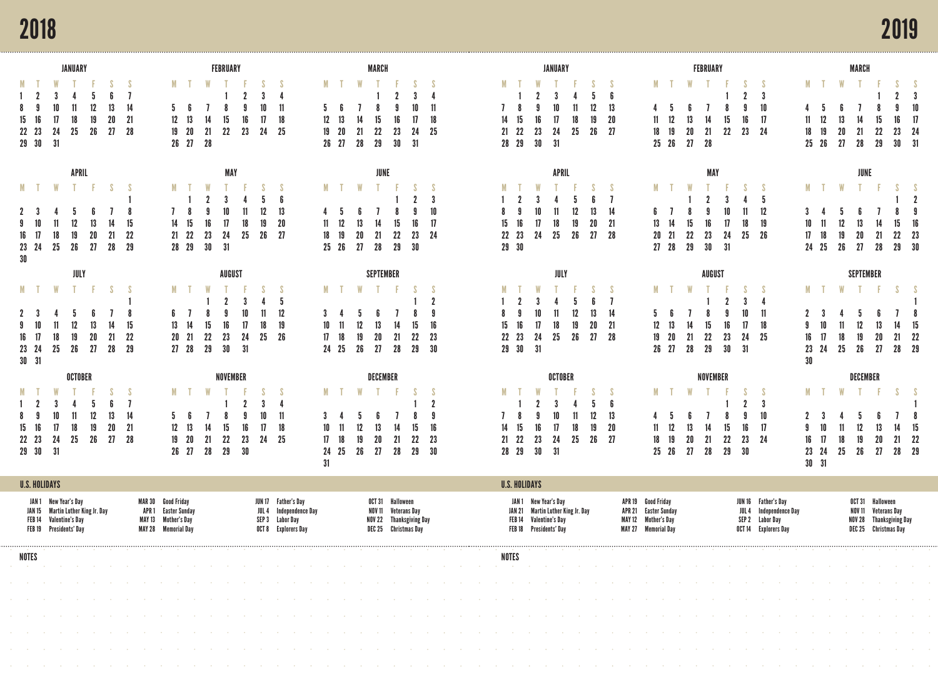## 2018

|                                    |                                                                          | JANUARY                 |                                   |                      |                 |       |                                                                                          |               | FEBRUARY                     |                |                                                                                                                                                                                                                                                                                                                                                                                                                                                                  |                           |                    |                                 | MARCH                                                                         |                 |                       |                                        |                                              |                          |                                                                          | JANUARY                           |                |                |                       |                                                                         |                                      |                            | FEBRUARY       |                   |                                  |                                                                |                  |                               |             |                     | <b>MARCH</b>           |                                                                                     |                          |                                    |
|------------------------------------|--------------------------------------------------------------------------|-------------------------|-----------------------------------|----------------------|-----------------|-------|------------------------------------------------------------------------------------------|---------------|------------------------------|----------------|------------------------------------------------------------------------------------------------------------------------------------------------------------------------------------------------------------------------------------------------------------------------------------------------------------------------------------------------------------------------------------------------------------------------------------------------------------------|---------------------------|--------------------|---------------------------------|-------------------------------------------------------------------------------|-----------------|-----------------------|----------------------------------------|----------------------------------------------|--------------------------|--------------------------------------------------------------------------|-----------------------------------|----------------|----------------|-----------------------|-------------------------------------------------------------------------|--------------------------------------|----------------------------|----------------|-------------------|----------------------------------|----------------------------------------------------------------|------------------|-------------------------------|-------------|---------------------|------------------------|-------------------------------------------------------------------------------------|--------------------------|------------------------------------|
| M T<br>-16<br>15<br>22 23<br>29 30 | 10<br>24<br>31                                                           | 25                      | 12<br>18<br>19<br>26              | 13<br>20<br>27       | 14<br>-21<br>28 |       | M T<br>5<br>12<br>-13<br>19<br>-20<br>26 27                                              | W<br>21<br>28 | 22<br>23                     | -S<br>17<br>24 | - S<br>$\mathbf{1}$<br>18<br>25                                                                                                                                                                                                                                                                                                                                                                                                                                  | 5.<br>12<br>19            | M T<br>20<br>26 27 | <b>W</b><br>14<br>21<br>28      | 15<br>22<br>29                                                                | 16<br>23<br>30  | 10<br>17<br>24<br>-31 | 11<br>18<br>-25                        | 14<br>21                                     | M T<br>15<br>22<br>28 29 | 16<br>23<br>30                                                           | 10<br>17<br>24<br>31              | 11<br>18<br>25 | 12<br>19<br>26 | 13<br>20<br>- 27      | 11<br>18                                                                | M T<br>-5<br>12<br>19<br>$25\quad26$ | <b>W</b><br>13<br>20<br>27 | 14<br>21<br>28 | 15<br>22          | $\overline{2}$<br>16<br>23       | - S<br>3<br>10<br>-17<br>- 24                                  |                  | 18<br>$25\quad26$             | M T W<br>19 | 13<br>20<br>27      | 14<br>21<br>28         | 15<br>22<br>29                                                                      | 9.<br>16<br>23<br>30     | -3<br>10<br>17<br>-24<br>- 31      |
|                                    |                                                                          |                         | APRIL                             |                      |                 |       |                                                                                          |               | MAY                          |                |                                                                                                                                                                                                                                                                                                                                                                                                                                                                  |                           |                    |                                 | JUNE                                                                          |                 |                       |                                        |                                              |                          |                                                                          | APRIL                             |                |                |                       |                                                                         |                                      |                            | <b>MAY</b>     |                   |                                  |                                                                |                  |                               |             |                     | JUNE                   |                                                                                     |                          |                                    |
| M T<br>10<br>17<br>23 24<br>30     | W<br>18<br>25                                                            | 12<br>26                | 13<br>19<br>20<br>27              | S.<br>14<br>21<br>28 | 15<br>22<br>29  |       | 14<br>21 22<br>28 29                                                                     | 23<br>30      | 17<br>18<br>24<br>25<br>31   | 26             | 13<br>20<br>- 27                                                                                                                                                                                                                                                                                                                                                                                                                                                 | M<br>18                   | $25\quad26$        | W<br>13<br>20<br>- 27           | 14<br>21<br>28                                                                | 15<br>22<br>29  | 16<br>23<br>-30       | 3<br>10<br>17<br>24                    | 15<br>22                                     | 16<br>23<br>29 30        | 17<br>24                                                                 | 18<br>25                          | 12<br>19<br>26 | 13<br>20<br>27 | - 7<br>14<br>21<br>28 | M<br>13                                                                 | $20$ $21$<br>27 28                   | 22<br>29                   | 23<br>30       | 17<br>-24<br>- 31 | 11<br>18<br>25                   | -5<br>12<br>19<br>-26                                          |                  | M<br>17<br>24 25              |             | W<br>12<br>19<br>26 | 20<br>27               | 21<br>28                                                                            | 15<br>22<br>29           | $\overline{2}$<br>16<br>23<br>- 30 |
|                                    |                                                                          |                         | JULY                              |                      |                 |       |                                                                                          |               | AUGUST                       |                |                                                                                                                                                                                                                                                                                                                                                                                                                                                                  |                           |                    |                                 | <b>SEPTEMBER</b>                                                              |                 |                       |                                        |                                              |                          |                                                                          | JULY                              |                |                |                       |                                                                         |                                      |                            | AUGUST         |                   |                                  |                                                                |                  |                               |             |                     | <b>SEPTEMBER</b>       |                                                                                     |                          |                                    |
| MT.<br>10<br>17<br>16<br>23 24     | W<br>18<br>25                                                            | - T -<br>-5<br>12<br>26 | 13<br>19<br>20<br>27              | -S<br>14<br>21<br>28 | 15<br>22<br>-29 |       | MT.<br>- 7<br>13<br>- 14<br>$20\quad 21$<br>27 28                                        | 22<br>29      | 23<br>-24<br>30<br>- 31      | 25             | - S<br>12<br>19<br>- 26                                                                                                                                                                                                                                                                                                                                                                                                                                          | 3<br>10<br>17             | MT.<br>18<br>24 25 | <b>W</b><br>5<br>12<br>19<br>26 | 13<br>20<br>27                                                                | 14<br>21<br>-28 | 15<br>22<br>29        | $\overline{2}$<br>9<br>16<br>23<br>-30 | 15<br>22                                     | 16<br>23<br>29 30        | 10<br>17<br>24<br>-31                                                    | 11<br>18<br>25                    | 12<br>19<br>26 | 13<br>20<br>27 | 14<br>-21<br>-28      | 12<br>19                                                                | M T<br>13<br>-20<br>26 27            | 14<br>21<br>28             | 22<br>29       | 23<br>30          | 17<br>24<br>31                   | - S<br>11<br>18<br>-25                                         |                  | M T<br>16<br>23<br>30         | 24          | W<br>18<br>25       | . т.<br>12<br>19<br>26 | 20<br>27                                                                            | S.<br>21<br>28           | 15<br>-22<br>- 29                  |
| $30$ $31$                          |                                                                          |                         |                                   |                      |                 |       |                                                                                          |               |                              |                |                                                                                                                                                                                                                                                                                                                                                                                                                                                                  |                           |                    |                                 |                                                                               |                 |                       |                                        |                                              |                          |                                                                          |                                   |                |                |                       |                                                                         |                                      |                            |                |                   |                                  |                                                                |                  |                               |             |                     |                        |                                                                                     |                          |                                    |
|                                    |                                                                          |                         | OCTOBER                           |                      |                 |       |                                                                                          |               | NOVEMBER                     |                |                                                                                                                                                                                                                                                                                                                                                                                                                                                                  |                           |                    |                                 | DECEMBER                                                                      |                 |                       |                                        |                                              |                          |                                                                          | OCTOBER                           |                |                |                       |                                                                         |                                      |                            | NOVEMBER       |                   |                                  |                                                                |                  |                               |             |                     | DECEMBER               |                                                                                     |                          |                                    |
| -8<br>16<br>15<br>22 23<br>29 30   | 10<br>17<br>24<br>31                                                     | 25                      | 12<br>18<br>19<br>26              | 13<br>20<br>27       | 14<br>-21<br>28 |       | M<br>5.<br>12<br>$19$ $20$<br>26 27                                                      | 21<br>-28     | 16<br>22<br>23<br>29<br>- 30 | 17<br>24       | - S<br>18<br>- 25                                                                                                                                                                                                                                                                                                                                                                                                                                                | M<br>10<br>17<br>24<br>31 | 25                 | W<br>19<br>26                   | 13<br>20<br>- 27                                                              | 21<br>-28       | 15<br>22<br>29        | $\overline{2}$<br>9<br>16<br>23<br>-30 | 14<br>21                                     | 15<br>- 22<br>28 29      | 16<br>23<br>30                                                           | 10<br>17<br>24<br>- 31            | 11<br>18<br>25 | 12<br>19<br>26 | 13<br>20<br>-27       | 11<br>18                                                                | 19<br>25 26                          | 20<br>-27                  | 21<br>28       | 15<br>22<br>29    | $\overline{2}$<br>16<br>23<br>30 | - S<br>-3<br>10<br>-17<br>-24                                  |                  | M<br>16<br>23 24<br>$30$ $31$ | 17          | 18<br>25            | 19<br>- 26             | 13<br>20<br>- 27                                                                    | <sup>S</sup><br>21<br>28 | 15<br>22<br>- 29                   |
| <b>U.S. HOLIDAYS</b>               |                                                                          |                         |                                   |                      |                 |       |                                                                                          |               |                              |                |                                                                                                                                                                                                                                                                                                                                                                                                                                                                  |                           |                    |                                 |                                                                               |                 |                       |                                        |                                              | <b>U.S. HOLIDAYS</b>     |                                                                          |                                   |                |                |                       |                                                                         |                                      |                            |                |                   |                                  |                                                                |                  |                               |             |                     |                        |                                                                                     |                          |                                    |
|                                    | JAN 1 New Year's Day<br>FEB 14 Valentine's Day<br>FEB 19 Presidents' Day |                         | JAN 15 Martin Luther King Jr. Dav |                      |                 | APR 1 | <b>MAR 30 Good Friday</b><br>Easter Sunday<br>MAY 13 Mother's Day<br>MAY 28 Memorial Day |               |                              |                | JUN 17 Father's Day<br><b>JUL 4 Independence Day</b><br>SEP 3 Labor Day<br>OCT 8 Explorers Day                                                                                                                                                                                                                                                                                                                                                                   |                           |                    |                                 | OCT 31 Halloween<br>NOV 11<br>NOV 22 Thanksgiving Day<br>DEC 25 Christmas Day | Veterans Day    |                       |                                        |                                              |                          | JAN 1 New Year's Day<br>FEB 14 Valentine's Day<br>FEB 18 Presidents' Day | JAN 21 Martin Luther King Jr. Day |                |                | APR 21                | APR 19 Good Friday<br>MAY 12 Mother's Day<br><b>MAY 27 Memorial Day</b> | <b>Easter Sunday</b>                 |                            |                |                   | JUL 4                            | JUN 16 Father's Day<br>SEP 2 Labor Day<br>OCT 14 Explorers Day | Independence Day |                               |             |                     | NOV 11                 | OCT 31 Halloween<br>Veterans Day<br>NOV 28 Thanksgiving Day<br>DEC 25 Christmas Day |                          |                                    |
| NOTES                              |                                                                          |                         |                                   |                      |                 |       |                                                                                          |               |                              |                |                                                                                                                                                                                                                                                                                                                                                                                                                                                                  |                           |                    |                                 |                                                                               |                 |                       |                                        |                                              | NOTES                    |                                                                          |                                   |                |                |                       |                                                                         |                                      |                            |                |                   |                                  |                                                                |                  |                               |             |                     |                        |                                                                                     |                          |                                    |
| and the company                    |                                                                          |                         |                                   |                      |                 |       |                                                                                          |               |                              |                | the control of the control of the                                                                                                                                                                                                                                                                                                                                                                                                                                |                           |                    |                                 | and the state of the state                                                    |                 | and the control       |                                        | the contract of the contract of the contract |                          |                                                                          |                                   |                |                |                       |                                                                         |                                      |                            |                |                   |                                  |                                                                |                  |                               |             |                     |                        |                                                                                     |                          |                                    |
|                                    |                                                                          |                         |                                   |                      |                 |       |                                                                                          |               |                              |                | a construction of the construction of the construction of the construction of the construction of the construction of the construction of the construction of the construction of the construction of the construction of the                                                                                                                                                                                                                                    |                           |                    |                                 |                                                                               |                 |                       |                                        |                                              |                          |                                                                          |                                   |                |                |                       |                                                                         |                                      |                            |                |                   |                                  |                                                                |                  |                               |             |                     |                        |                                                                                     |                          |                                    |
|                                    |                                                                          |                         |                                   |                      |                 |       |                                                                                          |               |                              |                | the company of the company of the company of the company of the company of the company of the company of the company of the company of the company of the company of the company of the company of the company of the company                                                                                                                                                                                                                                    |                           |                    |                                 |                                                                               |                 |                       |                                        |                                              |                          |                                                                          |                                   |                |                |                       |                                                                         |                                      |                            |                |                   |                                  |                                                                |                  |                               |             |                     |                        |                                                                                     |                          |                                    |
|                                    |                                                                          |                         |                                   |                      |                 |       |                                                                                          |               |                              |                | in the company of the company of the company of the company of the company of the company of the company of the company of the company of the company of the company of the company of the company of the company of the compa                                                                                                                                                                                                                                   |                           |                    |                                 |                                                                               |                 |                       |                                        |                                              |                          |                                                                          |                                   |                |                |                       |                                                                         |                                      |                            |                |                   |                                  |                                                                |                  |                               |             |                     |                        |                                                                                     |                          |                                    |
|                                    |                                                                          |                         |                                   |                      |                 |       |                                                                                          |               |                              |                | and the company of the company of the company of the company of the company of the company of the company of the company of the company of the company of the company of the company of the company of the company of the comp<br>in the company of the company of the company of the company of the company of the company of the company of the company of the company of the company of the company of the company of the company of the company of the compa |                           |                    |                                 |                                                                               |                 |                       |                                        |                                              |                          |                                                                          |                                   |                |                |                       |                                                                         |                                      |                            |                |                   |                                  |                                                                |                  |                               |             |                     |                        |                                                                                     |                          |                                    |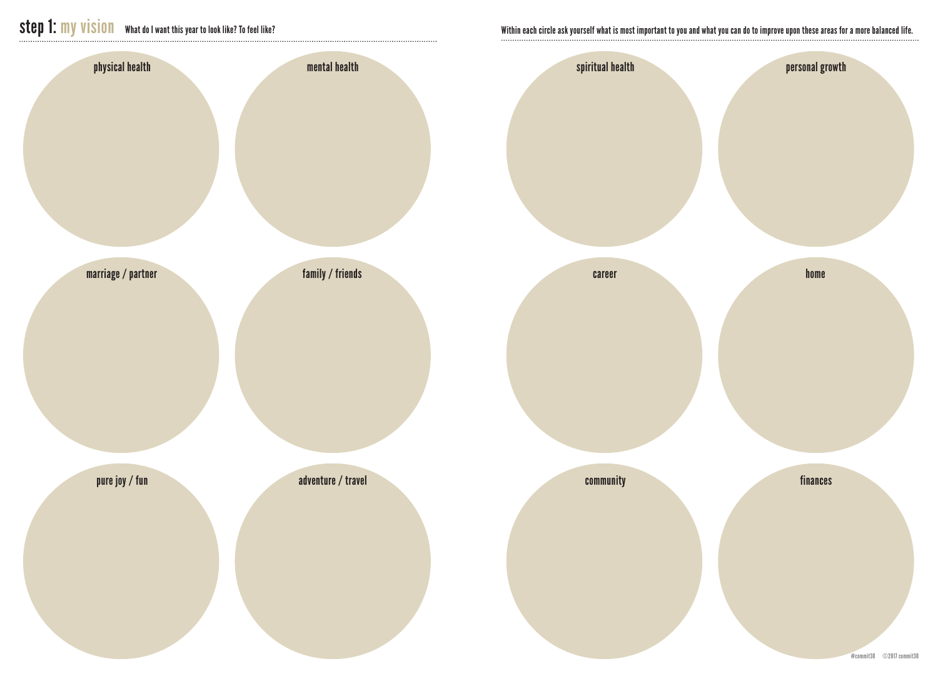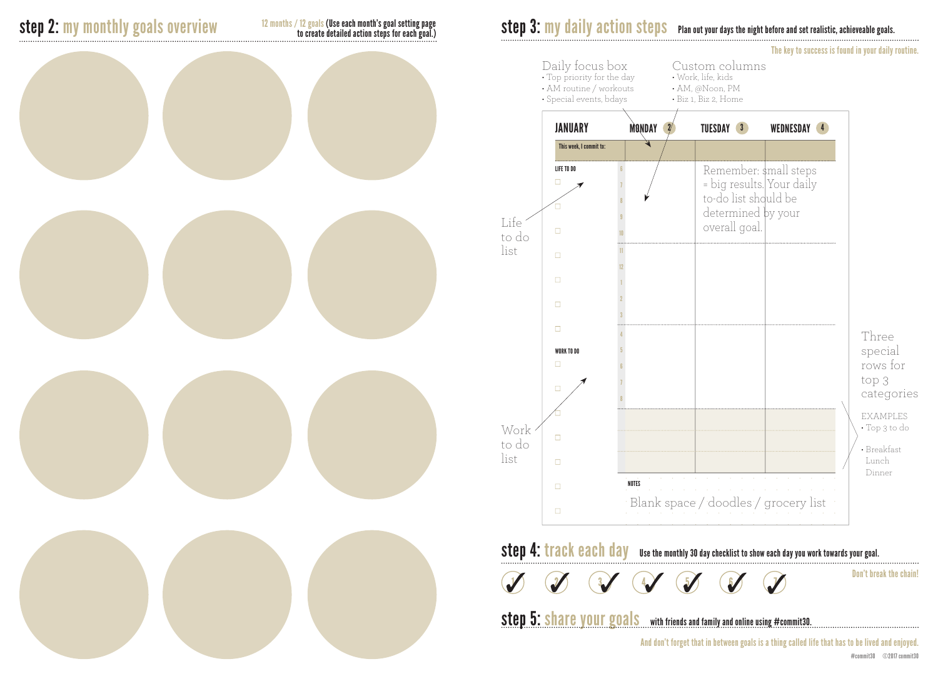12 months / 12 goals (Use each month's goal setting page to create detailed action steps for each goal.)

## step 2: my monthly goals overview station on the state detailed action steps for each poals.<br>
to create detailed action steps for each goals.<br> **Step 3:** my daily action steps Plan out your days the night before and set rea





The key to success is found in your daily routine.

step 4: track each day use the monthly 30 day checklist to show each day you work towards your goal.  $\bigcirc$ J

Don't break the chain!

step 5: share your goals with friends and family and online using #commit30.

And don't forget that in between goals is a thing called life that has to be lived and enjoyed.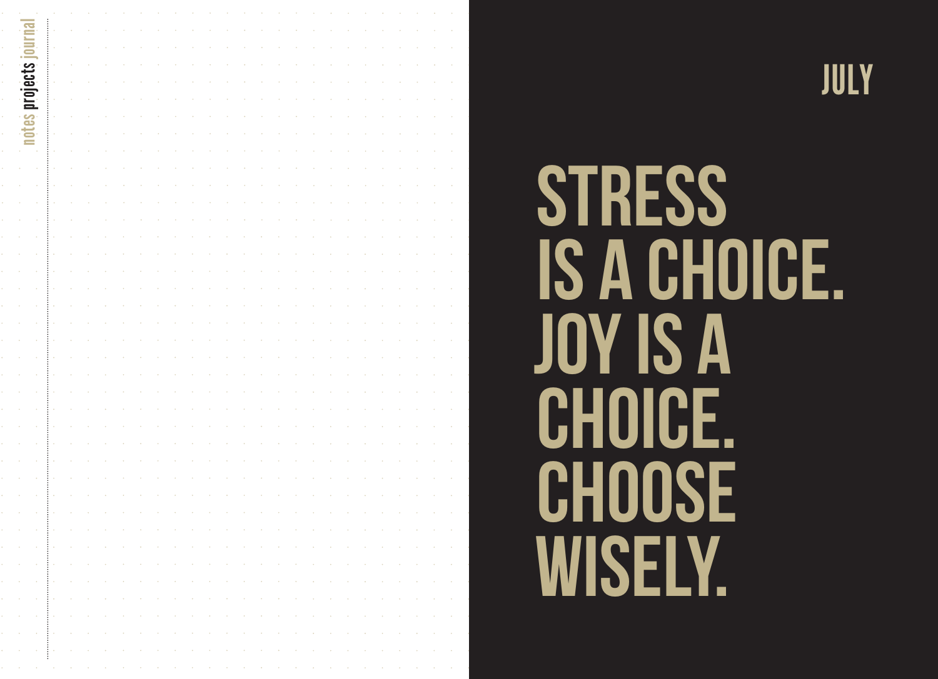

# **STRESS** IS A CHOICE. JOY IS A CHOICE. CHOOSE WISELY.

JULY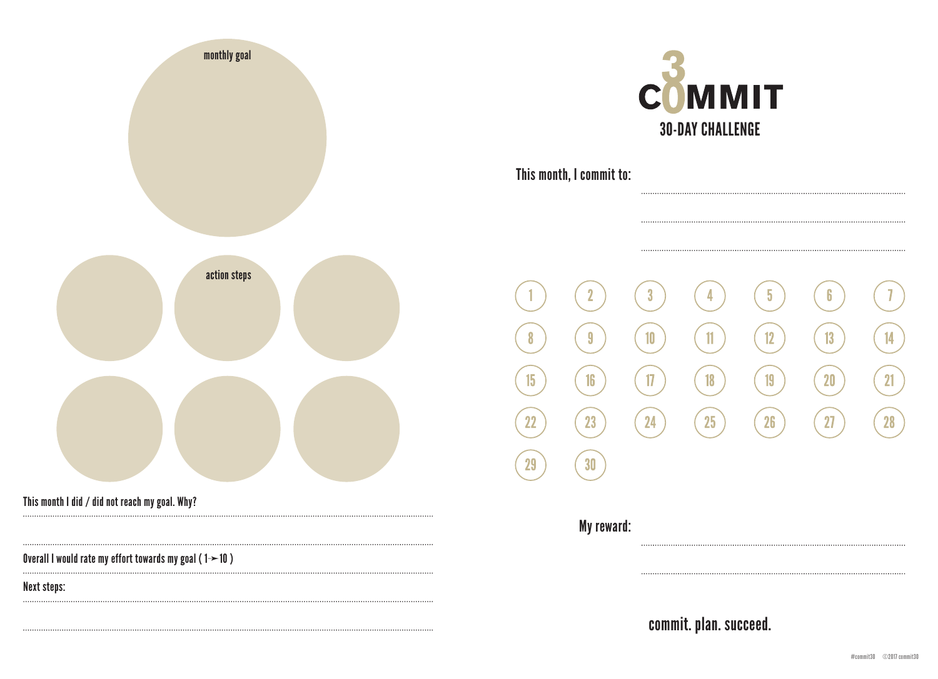| monthly goal                                                          |
|-----------------------------------------------------------------------|
|                                                                       |
| action steps                                                          |
|                                                                       |
| This month I did / did not reach my goal. Why?                        |
| Overall I would rate my effort towards my goal ( $1 \rightarrow 10$ ) |
| <b>Next steps:</b>                                                    |



This month, I commit to:

 $\overline{2}$  $\boldsymbol{3}$  $\overline{5}$  $\boldsymbol{6}$ 4  $\overline{\mathbf{3}}$  $10$  $\mathbf{1}$  $12$  $13$ 14 8  $16$  $\overline{1}$  $\overline{19}$  $20$ 15  $18$  $21$ 23 24 26  $27$ 25 **28**  $22$ 30 29 My reward: 

commit. plan. succeed.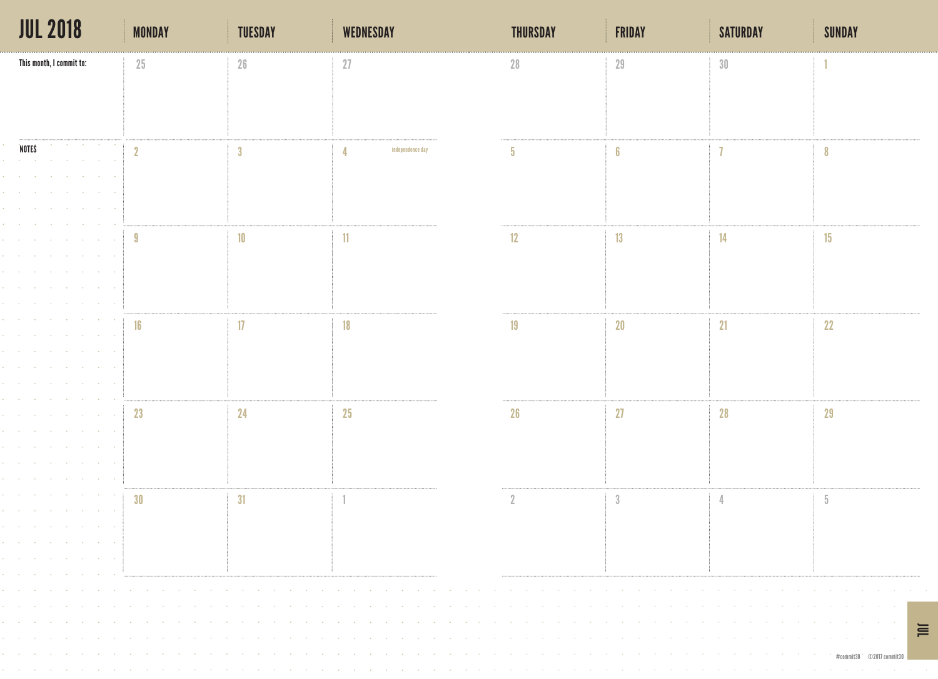| <b>JUL 2018</b>                                                                                                 | <b>MONDAY</b> | <b>TUESDAY</b>          | <b>WEDNESDAY</b>                                                                                                                                                                                                                                       | <b>THURSDAY</b> | <b>FRIDAY</b> | <b>SATURDAY</b> | <b>SUNDAY</b> |
|-----------------------------------------------------------------------------------------------------------------|---------------|-------------------------|--------------------------------------------------------------------------------------------------------------------------------------------------------------------------------------------------------------------------------------------------------|-----------------|---------------|-----------------|---------------|
| This month, I commit to:                                                                                        | 25            | 26                      | 27                                                                                                                                                                                                                                                     | 28              | 29            | 30              |               |
|                                                                                                                 |               |                         |                                                                                                                                                                                                                                                        |                 |               |                 |               |
|                                                                                                                 |               |                         |                                                                                                                                                                                                                                                        |                 |               |                 |               |
|                                                                                                                 |               |                         |                                                                                                                                                                                                                                                        |                 |               |                 |               |
| the control of the control of the<br><b>NOTES</b>                                                               | $\eta$        | $\overline{\mathbf{3}}$ | independence day                                                                                                                                                                                                                                       | 5.              | 6             |                 |               |
| the contract of the contract of the<br><b>All Contracts</b><br><b>Contractor</b><br>and the control of the con- |               |                         |                                                                                                                                                                                                                                                        |                 |               |                 |               |
|                                                                                                                 |               |                         |                                                                                                                                                                                                                                                        |                 |               |                 |               |
| <b>Contract</b><br><b>Contract</b>                                                                              |               |                         |                                                                                                                                                                                                                                                        |                 |               |                 |               |
| the control of the con-                                                                                         | -9            | 10                      | 11                                                                                                                                                                                                                                                     | 12              | 13            | 14              | 15            |
| the control of the control of                                                                                   |               |                         |                                                                                                                                                                                                                                                        |                 |               |                 |               |
| the company of the                                                                                              |               |                         |                                                                                                                                                                                                                                                        |                 |               |                 |               |
| the company of the company<br>contract of the con-                                                              |               |                         |                                                                                                                                                                                                                                                        |                 |               |                 |               |
| <b>Contractor</b>                                                                                               | 16            | $\overline{17}$         | 18                                                                                                                                                                                                                                                     | 19              | 20            | 21              | 22            |
| the company of the                                                                                              |               |                         |                                                                                                                                                                                                                                                        |                 |               |                 |               |
| <b>College</b><br><b>Contract Contract</b><br><b>Contract Contract</b>                                          |               |                         |                                                                                                                                                                                                                                                        |                 |               |                 |               |
| the control of the control of                                                                                   |               |                         |                                                                                                                                                                                                                                                        |                 |               |                 |               |
|                                                                                                                 |               |                         |                                                                                                                                                                                                                                                        |                 |               |                 |               |
| <b>Contract</b><br>the company of the                                                                           | 23            | 24                      | 25                                                                                                                                                                                                                                                     | 26              | 27            | 28              | 29            |
| and the state of the                                                                                            |               |                         |                                                                                                                                                                                                                                                        |                 |               |                 |               |
| <b>Contract Contract Contract</b>                                                                               |               |                         |                                                                                                                                                                                                                                                        |                 |               |                 |               |
| and the second control of the second control of the                                                             |               |                         |                                                                                                                                                                                                                                                        |                 |               |                 |               |
| and the company of the<br>contracts and contracts are a state of                                                | 30            | 31                      |                                                                                                                                                                                                                                                        |                 | $\sqrt{3}$    |                 | 5             |
|                                                                                                                 |               |                         |                                                                                                                                                                                                                                                        |                 |               |                 |               |
| the contract of the contract of the contract of the contract of                                                 |               |                         |                                                                                                                                                                                                                                                        |                 |               |                 |               |
| the contract of the contract of the contract of the<br>the contract of the contract of the contract of the      |               |                         |                                                                                                                                                                                                                                                        |                 |               |                 |               |
| <b>Contract Contract</b>                                                                                        |               |                         | a construction of the contract of the construction of the construction of the construction of the construction of the construction of the construction of the construction of the construction of the construction of the cons                         |                 |               |                 |               |
| the contract of the contract of the contract of the contract of the contract of the contract of the contract of |               |                         | in the company of the company of the company of the company of the company of the company of the company of the                                                                                                                                        |                 |               |                 |               |
|                                                                                                                 |               |                         | a caracteristic and the caracteristic and a caracteristic and a caracteristic and a caracteristic and a caracteristic and<br>a caracteristic and the caracteristic and a caracteristic and a caracteristic and a caracteristic and a caracteristic and |                 |               |                 | <b>TIIT</b>   |
|                                                                                                                 |               |                         |                                                                                                                                                                                                                                                        |                 |               |                 |               |
|                                                                                                                 |               |                         | a construction of the contract of the construction of the construction of the construction of the construction of the construction of the construction of the construction of the construction of the construction of the cons                         |                 |               |                 |               |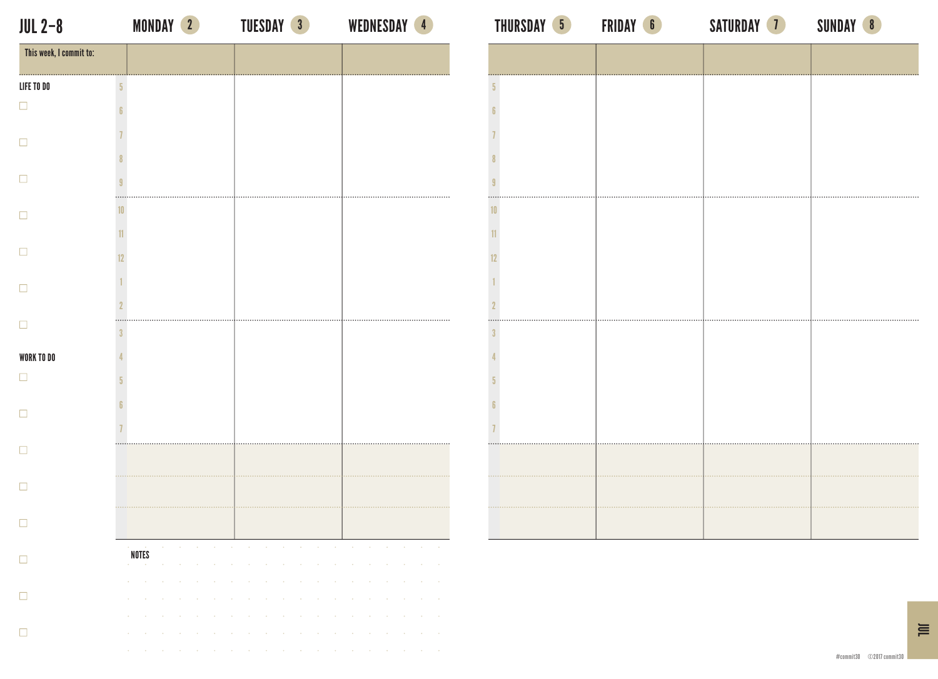$\Box$ 

 $\Box$ 

 $\Box$ 

 $\Box$ 

 $\Box$ 

 $\Box$ 

 $\Box$ 

 $\Box$ 

 $\Box$ 

 $\Box$ 

 $\Box$ 

 $\Box$ 

 $\Box$ 

MONDAY TUESDAY WEDNESDAY THURSDAY FRIDAY SATURDAY SUNDAY 2 3 4 5 6 7 8 JUL 2–8

| This week, I commit to: |                |                             |                 |                 |                 |                  |                          |                 |                                                                                                                               |                   |                 |                  |            |                 |                 |                 |                 |            |                        |                 |
|-------------------------|----------------|-----------------------------|-----------------|-----------------|-----------------|------------------|--------------------------|-----------------|-------------------------------------------------------------------------------------------------------------------------------|-------------------|-----------------|------------------|------------|-----------------|-----------------|-----------------|-----------------|------------|------------------------|-----------------|
| LIFE TO DO              | $\overline{5}$ |                             |                 |                 |                 |                  |                          |                 |                                                                                                                               |                   |                 |                  |            |                 |                 |                 |                 |            |                        |                 |
|                         | 6              |                             |                 |                 |                 |                  |                          |                 |                                                                                                                               |                   |                 |                  |            |                 |                 |                 |                 |            |                        |                 |
|                         |                |                             |                 |                 |                 |                  |                          |                 |                                                                                                                               |                   |                 |                  |            |                 |                 |                 |                 |            |                        |                 |
|                         | 8              |                             |                 |                 |                 |                  |                          |                 |                                                                                                                               |                   |                 |                  |            |                 |                 |                 |                 |            |                        |                 |
|                         | 9              |                             |                 |                 |                 |                  |                          |                 |                                                                                                                               |                   |                 |                  |            |                 |                 |                 |                 |            |                        |                 |
|                         | 10             |                             |                 |                 |                 |                  |                          |                 |                                                                                                                               |                   |                 |                  |            | .               | .               |                 |                 |            |                        |                 |
|                         | 11             |                             |                 |                 |                 |                  |                          |                 |                                                                                                                               |                   |                 |                  |            |                 |                 |                 |                 |            |                        |                 |
|                         | 12             |                             |                 |                 |                 |                  |                          |                 |                                                                                                                               |                   |                 |                  |            |                 |                 |                 |                 |            |                        |                 |
|                         |                |                             |                 |                 |                 |                  |                          |                 |                                                                                                                               |                   |                 |                  |            |                 |                 |                 |                 |            |                        |                 |
|                         | 2              |                             |                 |                 |                 |                  |                          |                 |                                                                                                                               |                   |                 |                  |            |                 |                 |                 |                 |            |                        |                 |
|                         | 3              |                             |                 |                 |                 |                  | .                        |                 |                                                                                                                               |                   |                 |                  |            |                 |                 |                 |                 |            |                        |                 |
| WORK TO DO              |                |                             |                 |                 |                 |                  |                          |                 |                                                                                                                               |                   |                 |                  |            |                 |                 |                 |                 |            |                        |                 |
| H                       | 5              |                             |                 |                 |                 |                  |                          |                 |                                                                                                                               |                   |                 |                  |            |                 |                 |                 |                 |            |                        |                 |
|                         | 6              |                             |                 |                 |                 |                  |                          |                 |                                                                                                                               |                   |                 |                  |            |                 |                 |                 |                 |            |                        |                 |
|                         |                |                             |                 |                 |                 |                  |                          |                 |                                                                                                                               |                   |                 |                  |            |                 |                 |                 |                 |            |                        |                 |
|                         |                |                             |                 |                 |                 |                  |                          |                 |                                                                                                                               |                   |                 |                  |            |                 |                 |                 |                 |            |                        |                 |
| H                       |                |                             |                 |                 |                 |                  |                          |                 |                                                                                                                               |                   |                 |                  |            |                 |                 |                 |                 |            |                        |                 |
|                         |                |                             |                 |                 |                 |                  |                          |                 |                                                                                                                               |                   |                 |                  |            |                 |                 |                 |                 |            |                        |                 |
|                         |                |                             |                 |                 |                 |                  |                          |                 |                                                                                                                               |                   |                 |                  |            |                 |                 |                 |                 |            |                        |                 |
| $\Box$                  |                | NOTES                       |                 |                 |                 |                  |                          |                 | and the company of the company of the company of the company of the company of the company of the company of the              |                   |                 |                  |            |                 |                 |                 |                 |            |                        |                 |
|                         |                | <b>Contractor</b>           |                 | and the company |                 |                  | and a strategic control. |                 | ومناوب والمستحيل والمستحيل والمستحيل والمستحيل والمستحيل والمستحيل والمستحيل والمستحيل والمستحيل والمستحيل<br><b>Contract</b> | <b>Contractor</b> |                 | <b>Contract</b>  | $\sim 100$ | <b>Contract</b> | $\sim 100$      | <b>Contract</b> | $\sim$          | $\sim$     |                        |                 |
| $\Box$                  |                | <b>College</b>              |                 |                 |                 |                  |                          |                 | and the contract of the contract of the contract of the contract of the contract of the contract of the contract              |                   |                 |                  |            |                 |                 |                 |                 |            |                        |                 |
|                         |                | $\sim$<br><b>Contractor</b> | <b>Contract</b> |                 |                 |                  |                          |                 | the contract of the contract of the contract of the contract of the contract of the contract of                               |                   |                 |                  |            |                 |                 |                 |                 |            | and the company of the |                 |
| $\Box$                  |                | $\sim$<br>$\sim$            |                 | $\sim$          | <b>Contract</b> | $\sim$ 100 $\pm$ | $\sim$                   | <b>Contract</b> | $\sim$ 10 $\pm$                                                                                                               | $\sim$            | <b>Contract</b> | $\sim$ 100 $\pm$ | $\sim 100$ | <b>Contract</b> | <b>Contract</b> | <b>Contract</b> | <b>Contract</b> | $\sim 100$ | <b>Contractor</b>      | $\sim$ 10 $\pm$ |

 $\equiv$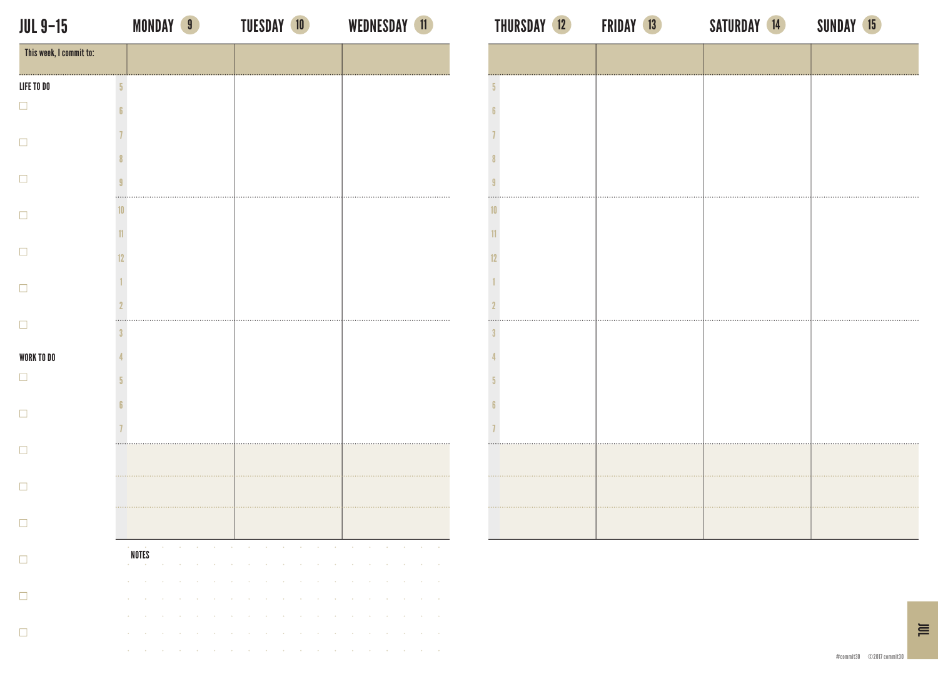LIFE TO DO

 $\Box$ 

 $\Box$ 

 $\Box$ 

 $\Box$ 

 $\Box$ 

 $\Box$ 

 $\Box$ 

 $\Box$ 

 $\Box$ 

 $\Box$ 

 $\Box$ 

 $\Box$ 

 $\Box$ 

 $\Box$ 

 $\Box$ 

the contract of the contract of the contract of the contract of the contract of the contract of

| <b>NDAY</b> |  |
|-------------|--|
|             |  |

| <b>JUL 9-15</b>         | <b>MONDAY 9</b> | <b>TUESDAY 10</b> | WEDNESDAY 11                                                                                                                                                                                                                                                                                                                                     | <b>THURSDAY 12</b> | <b>FRIDAY 13</b> | SATURDAY 14 | <b>SUNDAY 15</b> |
|-------------------------|-----------------|-------------------|--------------------------------------------------------------------------------------------------------------------------------------------------------------------------------------------------------------------------------------------------------------------------------------------------------------------------------------------------|--------------------|------------------|-------------|------------------|
| This week, I commit to: |                 |                   |                                                                                                                                                                                                                                                                                                                                                  |                    |                  |             |                  |
| LIFE TO DO              |                 |                   |                                                                                                                                                                                                                                                                                                                                                  |                    |                  |             |                  |
| □                       |                 |                   |                                                                                                                                                                                                                                                                                                                                                  |                    |                  |             |                  |
| $\Box$                  |                 |                   |                                                                                                                                                                                                                                                                                                                                                  |                    |                  |             |                  |
|                         |                 |                   |                                                                                                                                                                                                                                                                                                                                                  |                    |                  |             |                  |
| $\Box$                  |                 |                   |                                                                                                                                                                                                                                                                                                                                                  |                    |                  |             |                  |
| $\Box$                  |                 |                   |                                                                                                                                                                                                                                                                                                                                                  |                    |                  |             |                  |
|                         |                 |                   |                                                                                                                                                                                                                                                                                                                                                  |                    |                  |             |                  |
| $\Box$                  |                 |                   |                                                                                                                                                                                                                                                                                                                                                  |                    |                  |             |                  |
| $\Box$                  |                 |                   |                                                                                                                                                                                                                                                                                                                                                  |                    |                  |             |                  |
|                         |                 |                   |                                                                                                                                                                                                                                                                                                                                                  |                    |                  |             |                  |
| $\Box$                  |                 |                   |                                                                                                                                                                                                                                                                                                                                                  |                    |                  |             |                  |
| <b>WORK TO DO</b>       |                 |                   |                                                                                                                                                                                                                                                                                                                                                  |                    |                  |             |                  |
| $\Box$                  |                 |                   |                                                                                                                                                                                                                                                                                                                                                  |                    |                  |             |                  |
| $\Box$                  |                 |                   |                                                                                                                                                                                                                                                                                                                                                  |                    |                  |             |                  |
|                         |                 |                   |                                                                                                                                                                                                                                                                                                                                                  |                    |                  |             |                  |
| $\Box$                  |                 |                   |                                                                                                                                                                                                                                                                                                                                                  |                    |                  |             |                  |
| $\Box$                  |                 |                   |                                                                                                                                                                                                                                                                                                                                                  |                    |                  |             |                  |
|                         |                 |                   |                                                                                                                                                                                                                                                                                                                                                  |                    |                  |             |                  |
| $\Box$                  |                 |                   |                                                                                                                                                                                                                                                                                                                                                  |                    |                  |             |                  |
| $\Box$                  | NOTES           |                   | a construction of the construction of the construction of the construction of the construction of the construction of the construction of the construction of the construction of the construction of the construction of the<br>the contract of the contract of the contract of the contract of the contract of the contract of the contract of |                    |                  |             |                  |
|                         |                 |                   | the contract of the contract of the contract of the contract of the contract of the contract of the                                                                                                                                                                                                                                              |                    |                  |             |                  |
| $\Box$                  |                 |                   | المقاربة والقاربة والمقاربة والقاربة والمقاربة والقاربة والمقاربة والقاربة والمقاربة والقاربة والقاربة<br>المقارب والمستحدث والمستحدث والمستحدث والمستحدث والمستحدث والمستحدث والمستحدث والمستحدث والمستحدث                                                                                                                                      |                    |                  |             |                  |
|                         |                 |                   | the contract of the contract of the contract of the contract of the contract of the contract of the                                                                                                                                                                                                                                              |                    |                  |             |                  |

 $\equiv$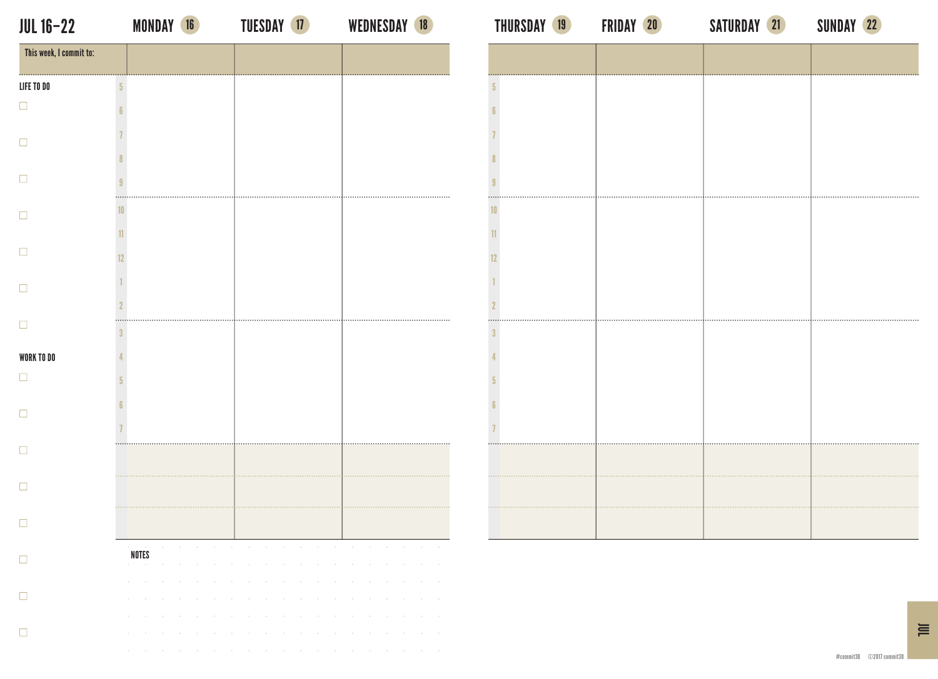## JUL 16–22 MONDAY 16 TUESDAY 17 WEDNESDAY 18 THURSDAY 19 FRIDAY 20 SATURDAY <mark>21</mark> SUNDAY <mark>22</mark>

| This week, I commit to: |                 |                                                                           |                           |                             |                 |                                                                                                 |                  |                             |                                   |                                    |                               |                               |                           |                                                                       |                  |                  |                     |        |                         |
|-------------------------|-----------------|---------------------------------------------------------------------------|---------------------------|-----------------------------|-----------------|-------------------------------------------------------------------------------------------------|------------------|-----------------------------|-----------------------------------|------------------------------------|-------------------------------|-------------------------------|---------------------------|-----------------------------------------------------------------------|------------------|------------------|---------------------|--------|-------------------------|
| LIFE TO DO              | $\sqrt{5}$      |                                                                           |                           |                             |                 |                                                                                                 |                  |                             |                                   |                                    |                               |                               |                           |                                                                       |                  |                  |                     |        |                         |
| □                       | 6               |                                                                           |                           |                             |                 |                                                                                                 |                  |                             |                                   |                                    |                               |                               |                           |                                                                       |                  |                  |                     |        |                         |
| п                       |                 |                                                                           |                           |                             |                 |                                                                                                 |                  |                             |                                   |                                    |                               |                               |                           |                                                                       |                  |                  |                     |        |                         |
|                         |                 |                                                                           |                           |                             |                 |                                                                                                 |                  |                             |                                   |                                    |                               |                               |                           |                                                                       |                  |                  |                     |        |                         |
|                         | 9               |                                                                           |                           |                             |                 |                                                                                                 |                  |                             |                                   |                                    |                               |                               |                           |                                                                       |                  |                  |                     |        |                         |
|                         | 10 <sup>1</sup> |                                                                           |                           |                             |                 |                                                                                                 |                  |                             |                                   |                                    |                               |                               |                           |                                                                       |                  |                  |                     |        |                         |
|                         | 11              |                                                                           |                           |                             |                 |                                                                                                 |                  |                             |                                   |                                    |                               |                               |                           |                                                                       |                  |                  |                     |        |                         |
| H                       | 12              |                                                                           |                           |                             |                 |                                                                                                 |                  |                             |                                   |                                    |                               |                               |                           |                                                                       |                  |                  |                     |        |                         |
|                         |                 |                                                                           |                           |                             |                 |                                                                                                 |                  |                             |                                   |                                    |                               |                               |                           |                                                                       |                  |                  |                     |        |                         |
|                         |                 |                                                                           |                           |                             |                 |                                                                                                 |                  |                             |                                   |                                    |                               |                               |                           |                                                                       |                  |                  |                     |        |                         |
| п                       | 3               |                                                                           |                           |                             |                 |                                                                                                 |                  |                             |                                   |                                    |                               |                               |                           |                                                                       |                  |                  |                     |        |                         |
| WORK TO DO              |                 |                                                                           |                           |                             |                 |                                                                                                 |                  |                             |                                   |                                    |                               |                               |                           |                                                                       |                  |                  |                     |        |                         |
| □                       |                 |                                                                           |                           |                             |                 |                                                                                                 |                  |                             |                                   |                                    |                               |                               |                           |                                                                       |                  |                  |                     |        |                         |
|                         |                 |                                                                           |                           |                             |                 |                                                                                                 |                  |                             |                                   |                                    |                               |                               |                           |                                                                       |                  |                  |                     |        |                         |
|                         |                 |                                                                           |                           |                             |                 |                                                                                                 |                  |                             |                                   |                                    |                               |                               |                           |                                                                       |                  |                  |                     |        |                         |
|                         |                 |                                                                           |                           |                             |                 | .                                                                                               |                  |                             |                                   |                                    |                               | .                             |                           |                                                                       |                  |                  |                     |        |                         |
|                         |                 |                                                                           |                           |                             |                 |                                                                                                 |                  |                             |                                   |                                    |                               |                               |                           |                                                                       |                  |                  |                     |        |                         |
|                         |                 |                                                                           |                           |                             |                 |                                                                                                 |                  |                             |                                   |                                    |                               |                               |                           |                                                                       |                  |                  |                     |        |                         |
|                         |                 |                                                                           |                           |                             |                 |                                                                                                 |                  |                             |                                   |                                    |                               |                               |                           |                                                                       |                  |                  |                     |        |                         |
| $\Box$                  |                 | <b>NOTES</b>                                                              | $\sim$                    |                             |                 | the contract of the contract of the contract of the contract of the contract of the contract of |                  |                             |                                   |                                    |                               |                               |                           |                                                                       |                  |                  |                     |        | $\alpha$                |
|                         |                 | <b>Contractor</b><br>and the control of the control of the control of the |                           |                             |                 | the contract of the contract of the contract                                                    |                  |                             | <b>Contract</b><br>$\sim 10^{-1}$ | <b>Contract</b><br><b>Contract</b> | <b>Contract</b><br>$\sim 100$ | <b>Contract</b><br>$\sim 100$ | <b>College</b>            | the contract of the contract of the contract of the<br><b>College</b> | <b>Contract</b>  | $\sim 100$       | $\sim$              | $\sim$ | $\sim$                  |
| ப                       |                 | ¥.<br>$\sim$                                                              | $\sim$                    | $\sim$                      | $\sim$          | $\sim$                                                                                          | $\sim$           | $\sim$                      | $\sim$                            | <b>Contract</b>                    | <b>Contract</b>               | $\sim$ 10 $\mu$               | <b>Contract</b>           | $\sim$ 100 $\pm$                                                      | $\sim$           | $\sim$           | $\sim$              | $\sim$ | $\epsilon$              |
| □                       |                 | $\sim$<br>$\sim 100$<br>×<br>$\mathcal{A}$                                | <b>Contract</b><br>$\sim$ | <b>Contract</b><br>$\alpha$ | <b>Contract</b> | $\sim 100$                                                                                      | $\sim 100$<br>×, | $\sim$ 10 $\pm$<br>$\alpha$ | <b>Contract</b><br>$\sim$         | $\sim$ $\sim$<br>$\alpha$          | <b>Contract</b><br>$\sim$     | $\sim 100$<br>$\epsilon$      | <b>Contract</b><br>$\sim$ | $\sim 100$<br>$\sim$                                                  | $\sim$<br>$\sim$ | $\sim$<br>$\sim$ | $\sim$<br>$\lambda$ | $\sim$ | $\epsilon$<br>$\lambda$ |
|                         |                 |                                                                           |                           |                             |                 |                                                                                                 |                  |                             |                                   |                                    |                               |                               |                           |                                                                       |                  |                  |                     |        |                         |

| $\sqrt{5}$                      |  |  |
|---------------------------------|--|--|
| $\boldsymbol{6}$                |  |  |
|                                 |  |  |
| $\overline{1}$                  |  |  |
| $\pmb{8}$                       |  |  |
| $\boldsymbol{\mathfrak{g}}$<br> |  |  |
| 10                              |  |  |
| 11                              |  |  |
| 12                              |  |  |
| $\mathbf{1}$                    |  |  |
| $\overline{2}$                  |  |  |
| <br>$\overline{3}$              |  |  |
| $\overline{4}$                  |  |  |
| $\sqrt{3}$                      |  |  |
| $\boldsymbol{6}$                |  |  |
| $\overline{1}$                  |  |  |
| .                               |  |  |
|                                 |  |  |
|                                 |  |  |
|                                 |  |  |
|                                 |  |  |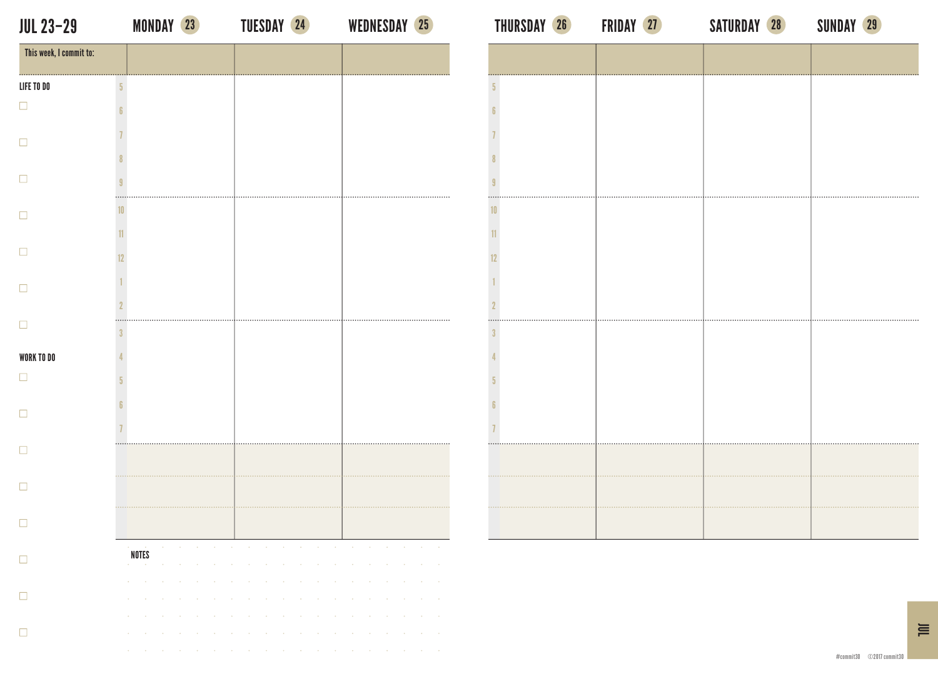This week, I commit to:

LIFE TO DO

 $\Box$ 

 $\Box$ 

 $\Box$ 

 $\Box$ 

 $\Box$ 

 $\Box$ 

 $\Box$ 

 $\Box$ 

 $\Box$ 

 $\Box$ 

 $\Box$ 

 $\Box$ 

 $\Box$ 

 $\Box$ 

 $\Box$ 

WORK TO DO

## JUL 23–29 MONDAY 23 TUESDAY 24 WEDNESDAY 25 THURSDAY 26 FRIDAY 27 SATURDAY 28 SUNDAY 29

5

6

7

8

9

10

12

2

3

4

5

6

7

NOTES

**COL** 

**COL** 

the contract of the contract of the contract of the contract of

 $\sim$ **COL** 

n a

MONDAY 23 TUESDAY 24 WEDNESDAY 25 THURSDAY 26 FRIDAY 27 SATURDAY 28 SUNDAY 29

| $\cdots$<br>$\overline{5}$ |  |  |
|----------------------------|--|--|
| 6                          |  |  |
| 7                          |  |  |
| $\pmb{8}$                  |  |  |
| 9<br>                      |  |  |
| 10                         |  |  |
| 11                         |  |  |
| 12                         |  |  |
| 1                          |  |  |
| $\overline{2}$<br>         |  |  |
| $\sqrt{3}$                 |  |  |
| 4                          |  |  |
| 5                          |  |  |
| 6                          |  |  |
| 7<br>                      |  |  |
|                            |  |  |
|                            |  |  |
|                            |  |  |
|                            |  |  |

 $\equiv$